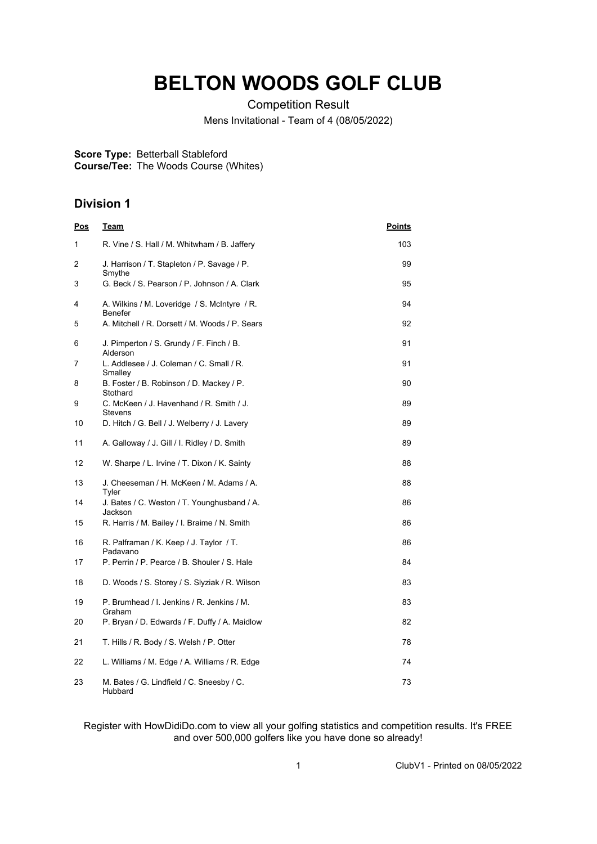## **BELTON WOODS GOLF CLUB**

Competition Result

Mens Invitational - Team of 4 (08/05/2022)

## **Score Type:** Betterball Stableford

**Course/Tee:** The Woods Course (Whites)

## **Division 1**

| <u>Pos</u> | <u>Team</u>                                                    | <u>Points</u> |
|------------|----------------------------------------------------------------|---------------|
| 1          | R. Vine / S. Hall / M. Whitwham / B. Jaffery                   | 103           |
| 2          | J. Harrison / T. Stapleton / P. Savage / P.<br>Smythe          | 99            |
| 3          | G. Beck / S. Pearson / P. Johnson / A. Clark                   | 95            |
| 4          | A. Wilkins / M. Loveridge / S. McIntyre / R.<br><b>Benefer</b> | 94            |
| 5          | A. Mitchell / R. Dorsett / M. Woods / P. Sears                 | 92            |
| 6          | J. Pimperton / S. Grundy / F. Finch / B.<br>Alderson           | 91            |
| 7          | L. Addlesee / J. Coleman / C. Small / R.<br>Smalley            | 91            |
| 8          | B. Foster / B. Robinson / D. Mackey / P.<br>Stothard           | 90            |
| 9          | C. McKeen / J. Havenhand / R. Smith / J.<br>Stevens            | 89            |
| 10         | D. Hitch / G. Bell / J. Welberry / J. Lavery                   | 89            |
| 11         | A. Galloway / J. Gill / I. Ridley / D. Smith                   | 89            |
| 12         | W. Sharpe / L. Irvine / T. Dixon / K. Sainty                   | 88            |
| 13         | J. Cheeseman / H. McKeen / M. Adams / A.<br>Tyler              | 88            |
| 14         | J. Bates / C. Weston / T. Younghusband / A.<br>Jackson         | 86            |
| 15         | R. Harris / M. Bailey / I. Braime / N. Smith                   | 86            |
| 16         | R. Palframan / K. Keep / J. Taylor / T.<br>Padavano            | 86            |
| 17         | P. Perrin / P. Pearce / B. Shouler / S. Hale                   | 84            |
| 18         | D. Woods / S. Storey / S. Slyziak / R. Wilson                  | 83            |
| 19         | P. Brumhead / I. Jenkins / R. Jenkins / M.<br>Graham           | 83            |
| 20         | P. Bryan / D. Edwards / F. Duffy / A. Maidlow                  | 82            |
| 21         | T. Hills / R. Body / S. Welsh / P. Otter                       | 78            |
| 22         | L. Williams / M. Edge / A. Williams / R. Edge                  | 74            |
| 23         | M. Bates / G. Lindfield / C. Sneesby / C.<br>Hubbard           | 73            |

Register with HowDidiDo.com to view all your golfing statistics and competition results. It's FREE and over 500,000 golfers like you have done so already!